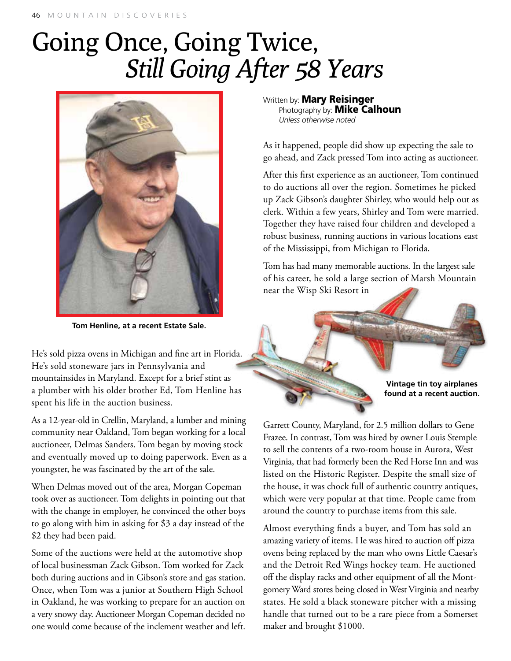## 46 MOUNTAIN DISCOVERIES

## Going Once, Going Twice, *Still Going After 58 Years*



**Tom Henline, at a recent Estate Sale.**

He's sold pizza ovens in Michigan and fine art in Florida. He's sold stoneware jars in Pennsylvania and mountainsides in Maryland. Except for a brief stint as a plumber with his older brother Ed, Tom Henline has spent his life in the auction business.

As a 12-year-old in Crellin, Maryland, a lumber and mining community near Oakland, Tom began working for a local auctioneer, Delmas Sanders. Tom began by moving stock and eventually moved up to doing paperwork. Even as a youngster, he was fascinated by the art of the sale.

When Delmas moved out of the area, Morgan Copeman took over as auctioneer. Tom delights in pointing out that with the change in employer, he convinced the other boys to go along with him in asking for \$3 a day instead of the \$2 they had been paid.

Some of the auctions were held at the automotive shop of local businessman Zack Gibson. Tom worked for Zack both during auctions and in Gibson's store and gas station. Once, when Tom was a junior at Southern High School in Oakland, he was working to prepare for an auction on a very snowy day. Auctioneer Morgan Copeman decided no one would come because of the inclement weather and left. Written by: **Mary Reisinger** Photography by: **Mike Calhoun** *Unless otherwise noted*

As it happened, people did show up expecting the sale to go ahead, and Zack pressed Tom into acting as auctioneer.

After this first experience as an auctioneer, Tom continued to do auctions all over the region. Sometimes he picked up Zack Gibson's daughter Shirley, who would help out as clerk. Within a few years, Shirley and Tom were married. Together they have raised four children and developed a robust business, running auctions in various locations east of the Mississippi, from Michigan to Florida.

Tom has had many memorable auctions. In the largest sale of his career, he sold a large section of Marsh Mountain near the Wisp Ski Resort in

> **Vintage tin toy airplanes found at a recent auction.**

Garrett County, Maryland, for 2.5 million dollars to Gene Frazee. In contrast, Tom was hired by owner Louis Stemple to sell the contents of a two-room house in Aurora, West Virginia, that had formerly been the Red Horse Inn and was listed on the Historic Register. Despite the small size of the house, it was chock full of authentic country antiques, which were very popular at that time. People came from around the country to purchase items from this sale.

Almost everything finds a buyer, and Tom has sold an amazing variety of items. He was hired to auction off pizza ovens being replaced by the man who owns Little Caesar's and the Detroit Red Wings hockey team. He auctioned off the display racks and other equipment of all the Montgomery Ward stores being closed in West Virginia and nearby states. He sold a black stoneware pitcher with a missing handle that turned out to be a rare piece from a Somerset maker and brought \$1000.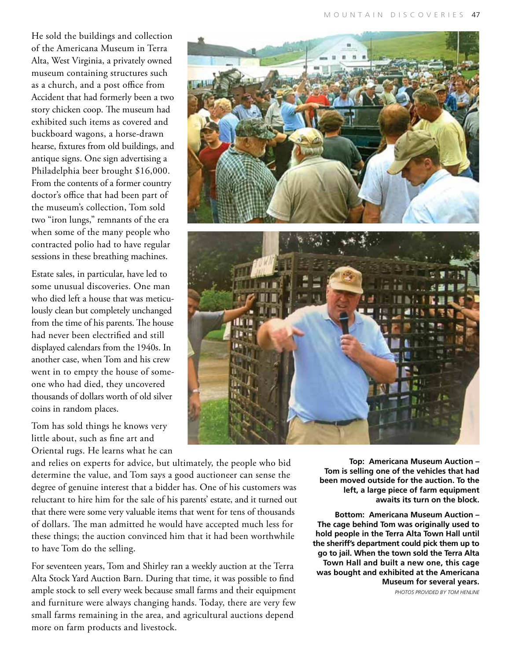He sold the buildings and collection of the Americana Museum in Terra Alta, West Virginia, a privately owned museum containing structures such as a church, and a post office from Accident that had formerly been a two story chicken coop. The museum had exhibited such items as covered and buckboard wagons, a horse-drawn hearse, fixtures from old buildings, and antique signs. One sign advertising a Philadelphia beer brought \$16,000. From the contents of a former country doctor's office that had been part of the museum's collection, Tom sold two "iron lungs," remnants of the era when some of the many people who contracted polio had to have regular sessions in these breathing machines.

Estate sales, in particular, have led to some unusual discoveries. One man who died left a house that was meticulously clean but completely unchanged from the time of his parents. The house had never been electrified and still displayed calendars from the 1940s. In another case, when Tom and his crew went in to empty the house of someone who had died, they uncovered thousands of dollars worth of old silver coins in random places.

Tom has sold things he knows very little about, such as fine art and Oriental rugs. He learns what he can

and relies on experts for advice, but ultimately, the people who bid determine the value, and Tom says a good auctioneer can sense the degree of genuine interest that a bidder has. One of his customers was reluctant to hire him for the sale of his parents' estate, and it turned out that there were some very valuable items that went for tens of thousands of dollars. The man admitted he would have accepted much less for these things; the auction convinced him that it had been worthwhile to have Tom do the selling.

For seventeen years, Tom and Shirley ran a weekly auction at the Terra Alta Stock Yard Auction Barn. During that time, it was possible to find ample stock to sell every week because small farms and their equipment and furniture were always changing hands. Today, there are very few small farms remaining in the area, and agricultural auctions depend more on farm products and livestock.

**Top: Americana Museum Auction – Tom is selling one of the vehicles that had been moved outside for the auction. To the left, a large piece of farm equipment awaits its turn on the block.**

**Bottom: Americana Museum Auction – The cage behind Tom was originally used to hold people in the Terra Alta Town Hall until the sheriff's department could pick them up to go to jail. When the town sold the Terra Alta Town Hall and built a new one, this cage was bought and exhibited at the Americana Museum for several years.**

*Photos provided by Tom Henline*